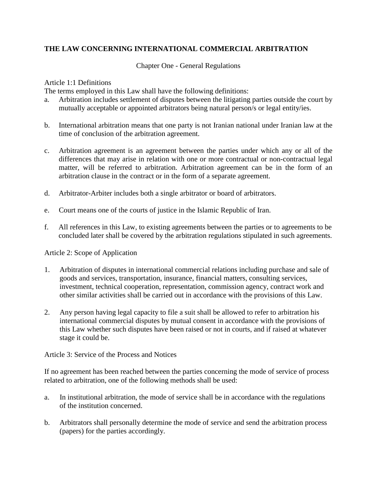# **THE LAW CONCERNING INTERNATIONAL COMMERCIAL ARBITRATION**

Chapter One - General Regulations

## Article 1:1 Definitions

The terms employed in this Law shall have the following definitions:

- a. Arbitration includes settlement of disputes between the litigating parties outside the court by mutually acceptable or appointed arbitrators being natural person/s or legal entity/ies.
- b. International arbitration means that one party is not Iranian national under Iranian law at the time of conclusion of the arbitration agreement.
- c. Arbitration agreement is an agreement between the parties under which any or all of the differences that may arise in relation with one or more contractual or non-contractual legal matter, will be referred to arbitration. Arbitration agreement can be in the form of an arbitration clause in the contract or in the form of a separate agreement.
- d. Arbitrator-Arbiter includes both a single arbitrator or board of arbitrators.
- e. Court means one of the courts of justice in the Islamic Republic of Iran.
- f. All references in this Law, to existing agreements between the parties or to agreements to be concluded later shall be covered by the arbitration regulations stipulated in such agreements.

Article 2: Scope of Application

- 1. Arbitration of disputes in international commercial relations including purchase and sale of goods and services, transportation, insurance, financial matters, consulting services, investment, technical cooperation, representation, commission agency, contract work and other similar activities shall be carried out in accordance with the provisions of this Law.
- 2. Any person having legal capacity to file a suit shall be allowed to refer to arbitration his international commercial disputes by mutual consent in accordance with the provisions of this Law whether such disputes have been raised or not in courts, and if raised at whatever stage it could be.

Article 3: Service of the Process and Notices

If no agreement has been reached between the parties concerning the mode of service of process related to arbitration, one of the following methods shall be used:

- a. In institutional arbitration, the mode of service shall be in accordance with the regulations of the institution concerned.
- b. Arbitrators shall personally determine the mode of service and send the arbitration process (papers) for the parties accordingly.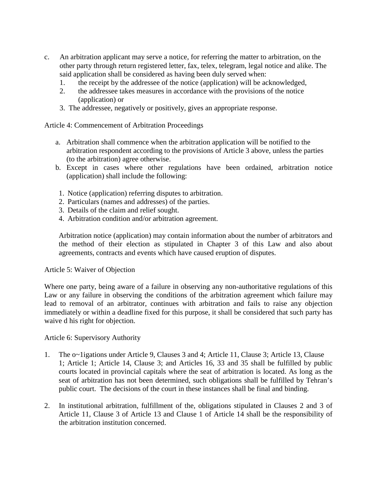- c. An arbitration applicant may serve a notice, for referring the matter to arbitration, on the other party through return registered letter, fax, telex, telegram, legal notice and alike. The said application shall be considered as having been duly served when:
	- 1. the receipt by the addressee of the notice (application) will be acknowledged,
	- 2. the addressee takes measures in accordance with the provisions of the notice (application) or
	- 3. The addressee, negatively or positively, gives an appropriate response.

#### Article 4: Commencement of Arbitration Proceedings

- a. Arbitration shall commence when the arbitration application will be notified to the arbitration respondent according to the provisions of Article 3 above, unless the parties (to the arbitration) agree otherwise.
- b. Except in cases where other regulations have been ordained, arbitration notice (application) shall include the following:
- 1. Notice (application) referring disputes to arbitration.
- 2. Particulars (names and addresses) of the parties.
- 3. Details of the claim and relief sought.
- 4. Arbitration condition and/or arbitration agreement.

Arbitration notice (application) may contain information about the number of arbitrators and the method of their election as stipulated in Chapter 3 of this Law and also about agreements, contracts and events which have caused eruption of disputes.

#### Article 5: Waiver of Objection

Where one party, being aware of a failure in observing any non-authoritative regulations of this Law or any failure in observing the conditions of the arbitration agreement which failure may lead to removal of an arbitrator, continues with arbitration and fails to raise any objection immediately or within a deadline fixed for this purpose, it shall be considered that such party has waive d his right for objection.

Article 6: Supervisory Authority

- 1. The o~1igations under Article 9, Clauses 3 and 4; Article 11, Clause 3; Article 13, Clause 1; Article 1; Article 14, Clause 3; and Articles 16, 33 and 35 shall be fulfilled by public courts located in provincial capitals where the seat of arbitration is located. As long as the seat of arbitration has not been determined, such obligations shall be fulfilled by Tehran's public court. The decisions of the court in these instances shall be final and binding.
- 2. In institutional arbitration, fulfillment of the, obligations stipulated in Clauses 2 and 3 of Article 11, Clause 3 of Article 13 and Clause 1 of Article 14 shall be the responsibility of the arbitration institution concerned.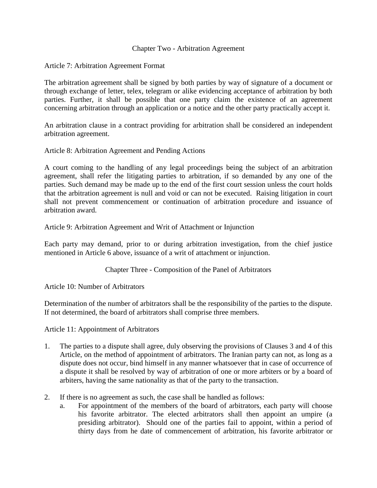#### Chapter Two - Arbitration Agreement

#### Article 7: Arbitration Agreement Format

The arbitration agreement shall be signed by both parties by way of signature of a document or through exchange of letter, telex, telegram or alike evidencing acceptance of arbitration by both parties. Further, it shall be possible that one party claim the existence of an agreement concerning arbitration through an application or a notice and the other party practically accept it.

An arbitration clause in a contract providing for arbitration shall be considered an independent arbitration agreement.

Article 8: Arbitration Agreement and Pending Actions

A court coming to the handling of any legal proceedings being the subject of an arbitration agreement, shall refer the litigating parties to arbitration, if so demanded by any one of the parties. Such demand may be made up to the end of the first court session unless the court holds that the arbitration agreement is null and void or can not be executed. Raising litigation in court shall not prevent commencement or continuation of arbitration procedure and issuance of arbitration award.

Article 9: Arbitration Agreement and Writ of Attachment or Injunction

Each party may demand, prior to or during arbitration investigation, from the chief justice mentioned in Article 6 above, issuance of a writ of attachment or injunction.

Chapter Three - Composition of the Panel of Arbitrators

Article 10: Number of Arbitrators

Determination of the number of arbitrators shall be the responsibility of the parties to the dispute. If not determined, the board of arbitrators shall comprise three members.

Article 11: Appointment of Arbitrators

- 1. The parties to a dispute shall agree, duly observing the provisions of Clauses 3 and 4 of this Article, on the method of appointment of arbitrators. The Iranian party can not, as long as a dispute does not occur, bind himself in any manner whatsoever that in case of occurrence of a dispute it shall be resolved by way of arbitration of one or more arbiters or by a board of arbiters, having the same nationality as that of the party to the transaction.
- 2. If there is no agreement as such, the case shall be handled as follows:
	- a. For appointment of the members of the board of arbitrators, each party will choose his favorite arbitrator. The elected arbitrators shall then appoint an umpire (a presiding arbitrator). Should one of the parties fail to appoint, within a period of thirty days from he date of commencement of arbitration, his favorite arbitrator or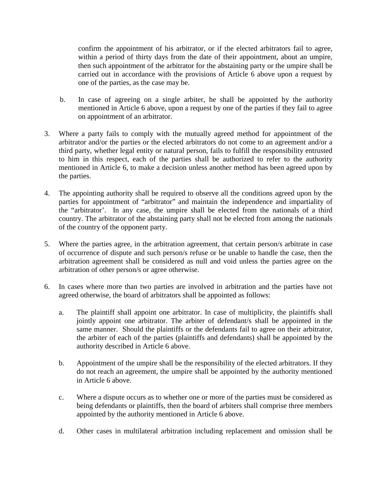confirm the appointment of his arbitrator, or if the elected arbitrators fail to agree, within a period of thirty days from the date of their appointment, about an umpire, then such appointment of the arbitrator for the abstaining party or the umpire shall be carried out in accordance with the provisions of Article 6 above upon a request by one of the parties, as the case may be.

- b. In case of agreeing on a single arbiter, he shall be appointed by the authority mentioned in Article 6 above, upon a request by one of the parties if they fail to agree on appointment of an arbitrator.
- 3. Where a party fails to comply with the mutually agreed method for appointment of the arbitrator and/or the parties or the elected arbitrators do not come to an agreement and/or a third party, whether legal entity or natural person, fails to fulfill the responsibility entrusted to him in this respect, each of the parties shall be authorized to refer to the authority mentioned in Article 6, to make a decision unless another method has been agreed upon by the parties.
- 4. The appointing authority shall be required to observe all the conditions agreed upon by the parties for appointment of "arbitrator" and maintain the independence and impartiality of the "arbitrator'. In any case, the umpire shall be elected from the nationals of a third country. The arbitrator of the abstaining party shall not be elected from among the nationals of the country of the opponent party.
- 5. Where the parties agree, in the arbitration agreement, that certain person/s arbitrate in case of occurrence of dispute and such person/s refuse or be unable to handle the case, then the arbitration agreement shall be considered as null and void unless the parties agree on the arbitration of other person/s or agree otherwise.
- 6. In cases where more than two parties are involved in arbitration and the parties have not agreed otherwise, the board of arbitrators shall be appointed as follows:
	- a. The plaintiff shall appoint one arbitrator. In case of multiplicity, the plaintiffs shall jointly appoint one arbitrator. The arbiter of defendant/s shall be appointed in the same manner. Should the plaintiffs or the defendants fail to agree on their arbitrator, the arbiter of each of the parties (plaintiffs and defendants) shall be appointed by the authority described in Article 6 above.
	- b. Appointment of the umpire shall be the responsibility of the elected arbitrators. If they do not reach an agreement, the umpire shall be appointed by the authority mentioned in Article 6 above.
	- c. Where a dispute occurs as to whether one or more of the parties must be considered as being defendants or plaintiffs, then the board of arbiters shall comprise three members appointed by the authority mentioned in Article 6 above.
	- d. Other cases in multilateral arbitration including replacement and omission shall be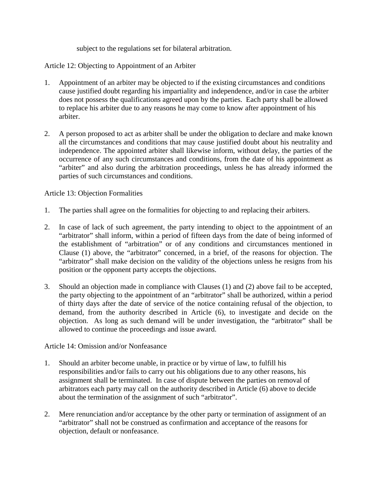subject to the regulations set for bilateral arbitration.

Article 12: Objecting to Appointment of an Arbiter

- 1. Appointment of an arbiter may be objected to if the existing circumstances and conditions cause justified doubt regarding his impartiality and independence, and/or in case the arbiter does not possess the qualifications agreed upon by the parties. Each party shall be allowed to replace his arbiter due to any reasons he may come to know after appointment of his arbiter.
- 2. A person proposed to act as arbiter shall be under the obligation to declare and make known all the circumstances and conditions that may cause justified doubt about his neutrality and independence. The appointed arbiter shall likewise inform, without delay, the parties of the occurrence of any such circumstances and conditions, from the date of his appointment as "arbiter" and also during the arbitration proceedings, unless he has already informed the parties of such circumstances and conditions.

Article 13: Objection Formalities

- 1. The parties shall agree on the formalities for objecting to and replacing their arbiters.
- 2. In case of lack of such agreement, the party intending to object to the appointment of an "arbitrator" shall inform, within a period of fifteen days from the date of being informed of the establishment of "arbitration" or of any conditions and circumstances mentioned in Clause (1) above, the "arbitrator" concerned, in a brief, of the reasons for objection. The "arbitrator" shall make decision on the validity of the objections unless he resigns from his position or the opponent party accepts the objections.
- 3. Should an objection made in compliance with Clauses (1) and (2) above fail to be accepted, the party objecting to the appointment of an "arbitrator" shall be authorized, within a period of thirty days after the date of service of the notice containing refusal of the objection, to demand, from the authority described in Article (6), to investigate and decide on the objection. As long as such demand will be under investigation, the "arbitrator" shall be allowed to continue the proceedings and issue award.

Article 14: Omission and/or Nonfeasance

- 1. Should an arbiter become unable, in practice or by virtue of law, to fulfill his responsibilities and/or fails to carry out his obligations due to any other reasons, his assignment shall be terminated. In case of dispute between the parties on removal of arbitrators each party may call on the authority described in Article (6) above to decide about the termination of the assignment of such "arbitrator".
- 2. Mere renunciation and/or acceptance by the other party or termination of assignment of an "arbitrator" shall not be construed as confirmation and acceptance of the reasons for objection, default or nonfeasance.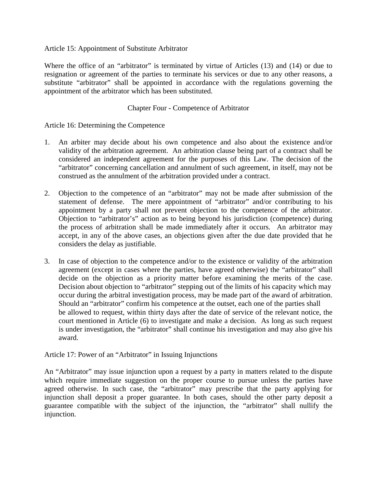Article 15: Appointment of Substitute Arbitrator

Where the office of an "arbitrator" is terminated by virtue of Articles (13) and (14) or due to resignation or agreement of the parties to terminate his services or due to any other reasons, a substitute "arbitrator" shall be appointed in accordance with the regulations governing the appointment of the arbitrator which has been substituted.

## Chapter Four - Competence of Arbitrator

Article 16: Determining the Competence

- 1. An arbiter may decide about his own competence and also about the existence and/or validity of the arbitration agreement. An arbitration clause being part of a contract shall be considered an independent agreement for the purposes of this Law. The decision of the "arbitrator" concerning cancellation and annulment of such agreement, in itself, may not be construed as the annulment of the arbitration provided under a contract.
- 2. Objection to the competence of an "arbitrator" may not be made after submission of the statement of defense. The mere appointment of "arbitrator" and/or contributing to his appointment by a party shall not prevent objection to the competence of the arbitrator. Objection to "arbitrator's" action as to being beyond his jurisdiction (competence) during the process of arbitration shall be made immediately after it occurs. An arbitrator may accept, in any of the above cases, an objections given after the due date provided that he considers the delay as justifiable.
- 3. In case of objection to the competence and/or to the existence or validity of the arbitration agreement (except in cases where the parties, have agreed otherwise) the "arbitrator" shall decide on the objection as a priority matter before examining the merits of the case. Decision about objection to "arbitrator" stepping out of the limits of his capacity which may occur during the arbitral investigation process, may be made part of the award of arbitration. Should an "arbitrator" confirm his competence at the outset, each one of the parties shall be allowed to request, within thirty days after the date of service of the relevant notice, the court mentioned in Article (6) to investigate and make a decision. As long as such request is under investigation, the "arbitrator" shall continue his investigation and may also give his award.

Article 17: Power of an "Arbitrator" in Issuing Injunctions

An "Arbitrator" may issue injunction upon a request by a party in matters related to the dispute which require immediate suggestion on the proper course to pursue unless the parties have agreed otherwise. In such case, the "arbitrator" may prescribe that the party applying for injunction shall deposit a proper guarantee. In both cases, should the other party deposit a guarantee compatible with the subject of the injunction, the "arbitrator" shall nullify the injunction.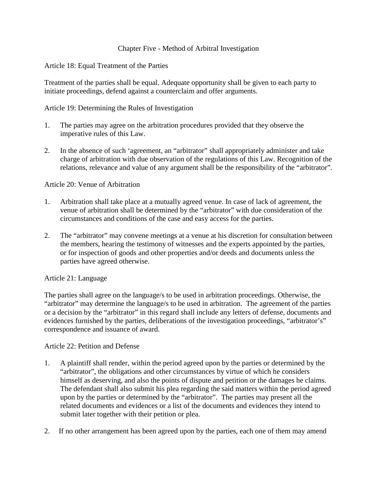## Chapter Five - Method of Arbitral Investigation

## Article 18: Equal Treatment of the Parties

Treatment of the parties shall be equal. Adequate opportunity shall be given to each party to initiate proceedings, defend against a counterclaim and offer arguments.

## Article 19: Determining the Rules of Investigation

- 1. The parties may agree on the arbitration procedures provided that they observe the imperative rules of this Law.
- 2. In the absence of such 'agreement, an "arbitrator" shall appropriately administer and take charge of arbitration with due observation of the regulations of this Law. Recognition of the relations, relevance and value of any argument shall be the responsibility of the "arbitrator".

## Article 20: Venue of Arbitration

- 1. Arbitration shall take place at a mutually agreed venue. In case of lack of agreement, the venue of arbitration shall be determined by the "arbitrator" with due consideration of the circumstances and conditions of the case and easy access for the parties.
- 2. The "arbitrator" may convene meetings at a venue at his discretion for consultation between the members, hearing the testimony of witnesses and the experts appointed by the parties, or for inspection of goods and other properties and/or deeds and documents unless the parties have agreed otherwise.

# Article 21: Language

The parties shall agree on the language/s to be used in arbitration proceedings. Otherwise, the "arbitrator" may determine the language/s to be used in arbitration. The agreement of the parties or a decision by the "arbitrator" in this regard shall include any letters of defense, documents and evidences furnished by the parties, deliberations of the investigation proceedings, "arbitrator's" correspondence and issuance of award.

#### Article 22: Petition and Defense

- 1. A plaintiff shall render, within the period agreed upon by the parties or determined by the "arbitrator", the obligations and other circumstances by virtue of which he considers himself as deserving, and also the points of dispute and petition or the damages he claims. The defendant shall also submit his plea regarding the said matters within the period agreed upon by the parties or determined by the "arbitrator". The parties may present all the related documents and evidences or a list of the documents and evidences they intend to submit later together with their petition or plea.
- 2. If no other arrangement has been agreed upon by the parties, each one of them may amend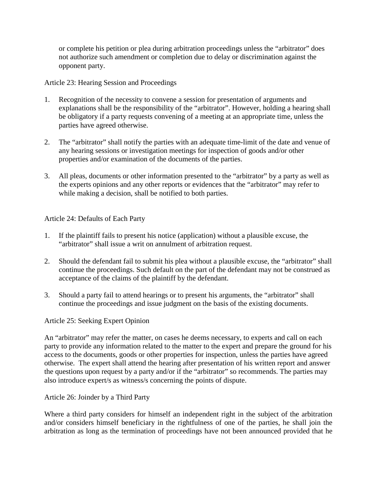or complete his petition or plea during arbitration proceedings unless the "arbitrator" does not authorize such amendment or completion due to delay or discrimination against the opponent party.

# Article 23: Hearing Session and Proceedings

- 1. Recognition of the necessity to convene a session for presentation of arguments and explanations shall be the responsibility of the "arbitrator". However, holding a hearing shall be obligatory if a party requests convening of a meeting at an appropriate time, unless the parties have agreed otherwise.
- 2. The "arbitrator" shall notify the parties with an adequate time-limit of the date and venue of any hearing sessions or investigation meetings for inspection of goods and/or other properties and/or examination of the documents of the parties.
- 3. All pleas, documents or other information presented to the "arbitrator" by a party as well as the experts opinions and any other reports or evidences that the "arbitrator" may refer to while making a decision, shall be notified to both parties.

# Article 24: Defaults of Each Party

- 1. If the plaintiff fails to present his notice (application) without a plausible excuse, the "arbitrator" shall issue a writ on annulment of arbitration request.
- 2. Should the defendant fail to submit his plea without a plausible excuse, the "arbitrator" shall continue the proceedings. Such default on the part of the defendant may not be construed as acceptance of the claims of the plaintiff by the defendant.
- 3. Should a party fail to attend hearings or to present his arguments, the "arbitrator" shall continue the proceedings and issue judgment on the basis of the existing documents.

# Article 25: Seeking Expert Opinion

An "arbitrator" may refer the matter, on cases he deems necessary, to experts and call on each party to provide any information related to the matter to the expert and prepare the ground for his access to the documents, goods or other properties for inspection, unless the parties have agreed otherwise. The expert shall attend the hearing after presentation of his written report and answer the questions upon request by a party and/or if the "arbitrator" so recommends. The parties may also introduce expert/s as witness/s concerning the points of dispute.

# Article 26: Joinder by a Third Party

Where a third party considers for himself an independent right in the subject of the arbitration and/or considers himself beneficiary in the rightfulness of one of the parties, he shall join the arbitration as long as the termination of proceedings have not been announced provided that he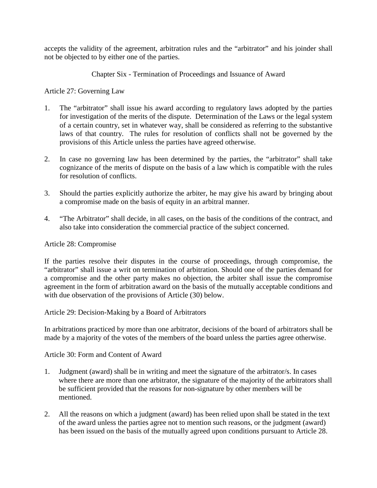accepts the validity of the agreement, arbitration rules and the "arbitrator" and his joinder shall not be objected to by either one of the parties.

# Chapter Six - Termination of Proceedings and Issuance of Award

Article 27: Governing Law

- 1. The "arbitrator" shall issue his award according to regulatory laws adopted by the parties for investigation of the merits of the dispute. Determination of the Laws or the legal system of a certain country, set in whatever way, shall be considered as referring to the substantive laws of that country. The rules for resolution of conflicts shall not be governed by the provisions of this Article unless the parties have agreed otherwise.
- 2. In case no governing law has been determined by the parties, the "arbitrator" shall take cognizance of the merits of dispute on the basis of a law which is compatible with the rules for resolution of conflicts.
- 3. Should the parties explicitly authorize the arbiter, he may give his award by bringing about a compromise made on the basis of equity in an arbitral manner.
- 4. "The Arbitrator" shall decide, in all cases, on the basis of the conditions of the contract, and also take into consideration the commercial practice of the subject concerned.

# Article 28: Compromise

If the parties resolve their disputes in the course of proceedings, through compromise, the "arbitrator" shall issue a writ on termination of arbitration. Should one of the parties demand for a compromise and the other party makes no objection, the arbiter shall issue the compromise agreement in the form of arbitration award on the basis of the mutually acceptable conditions and with due observation of the provisions of Article (30) below.

Article 29: Decision-Making by a Board of Arbitrators

In arbitrations practiced by more than one arbitrator, decisions of the board of arbitrators shall be made by a majority of the votes of the members of the board unless the parties agree otherwise.

Article 30: Form and Content of Award

- 1. Judgment (award) shall be in writing and meet the signature of the arbitrator/s. In cases where there are more than one arbitrator, the signature of the majority of the arbitrators shall be sufficient provided that the reasons for non-signature by other members will be mentioned.
- 2. All the reasons on which a judgment (award) has been relied upon shall be stated in the text of the award unless the parties agree not to mention such reasons, or the judgment (award) has been issued on the basis of the mutually agreed upon conditions pursuant to Article 28.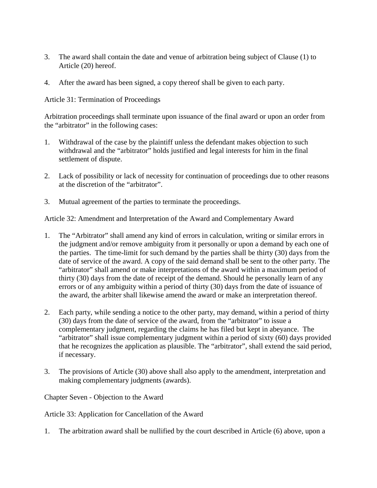- 3. The award shall contain the date and venue of arbitration being subject of Clause (1) to Article (20) hereof.
- 4. After the award has been signed, a copy thereof shall be given to each party.

Article 31: Termination of Proceedings

Arbitration proceedings shall terminate upon issuance of the final award or upon an order from the "arbitrator" in the following cases:

- 1. Withdrawal of the case by the plaintiff unless the defendant makes objection to such withdrawal and the "arbitrator" holds justified and legal interests for him in the final settlement of dispute.
- 2. Lack of possibility or lack of necessity for continuation of proceedings due to other reasons at the discretion of the "arbitrator".
- 3. Mutual agreement of the parties to terminate the proceedings.

Article 32: Amendment and Interpretation of the Award and Complementary Award

- 1. The "Arbitrator" shall amend any kind of errors in calculation, writing or similar errors in the judgment and/or remove ambiguity from it personally or upon a demand by each one of the parties. The time-limit for such demand by the parties shall be thirty (30) days from the date of service of the award. A copy of the said demand shall be sent to the other party. The "arbitrator" shall amend or make interpretations of the award within a maximum period of thirty (30) days from the date of receipt of the demand. Should he personally learn of any errors or of any ambiguity within a period of thirty (30) days from the date of issuance of the award, the arbiter shall likewise amend the award or make an interpretation thereof.
- 2. Each party, while sending a notice to the other party, may demand, within a period of thirty (30) days from the date of service of the award, from the "arbitrator" to issue a complementary judgment, regarding the claims he has filed but kept in abeyance. The "arbitrator" shall issue complementary judgment within a period of sixty (60) days provided that he recognizes the application as plausible. The "arbitrator", shall extend the said period, if necessary.
- 3. The provisions of Article (30) above shall also apply to the amendment, interpretation and making complementary judgments (awards).

Chapter Seven - Objection to the Award

Article 33: Application for Cancellation of the Award

1. The arbitration award shall be nullified by the court described in Article (6) above, upon a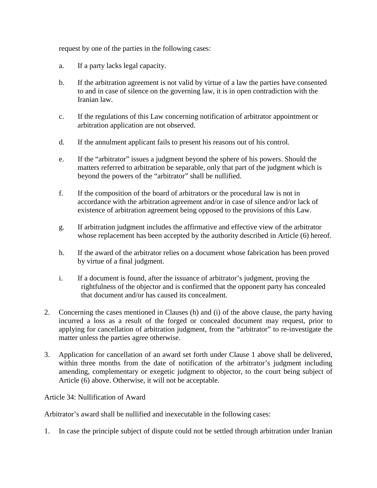request by one of the parties in the following cases:

- a. If a party lacks legal capacity.
- b. If the arbitration agreement is not valid by virtue of a law the parties have consented to and in case of silence on the governing law, it is in open contradiction with the Iranian law.
- c. If the regulations of this Law concerning notification of arbitrator appointment or arbitration application are not observed.
- d. If the annulment applicant fails to present his reasons out of his control.
- e. If the "arbitrator" issues a judgment beyond the sphere of his powers. Should the matters referred to arbitration be separable, only that part of the judgment which is beyond the powers of the "arbitrator" shall be nullified.
- f. If the composition of the board of arbitrators or the procedural law is not in accordance with the arbitration agreement and/or in case of silence and/or lack of existence of arbitration agreement being opposed to the provisions of this Law.
- g. If arbitration judgment includes the affirmative and effective view of the arbitrator whose replacement has been accepted by the authority described in Article (6) hereof.
- h. If the award of the arbitrator relies on a document whose fabrication has been proved by virtue of a final judgment.
- i. If a document is found, after the issuance of arbitrator's judgment, proving the rightfulness of the objector and is confirmed that the opponent party has concealed that document and/or has caused its concealment.
- 2. Concerning the cases mentioned in Clauses (h) and (i) of the above clause, the party having incurred a loss as a result of the forged or concealed document may request, prior to applying for cancellation of arbitration judgment, from the "arbitrator" to re-investigate the matter unless the parties agree otherwise.
- 3. Application for cancellation of an award set forth under Clause 1 above shall be delivered, within three months from the date of notification of the arbitrator's judgment including amending, complementary or exegetic judgment to objector, to the court being subject of Article (6) above. Otherwise, it will not be acceptable.

#### Article 34: Nullification of Award

Arbitrator's award shall be nullified and inexecutable in the following cases:

1. In case the principle subject of dispute could not be settled through arbitration under Iranian